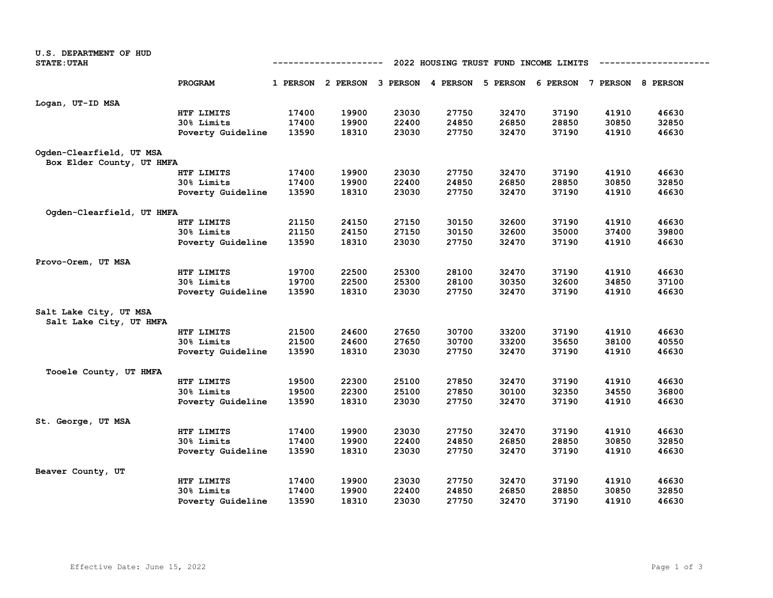| <b>U.S. DEPARTMENT OF HUD</b> |                   |                                                      |       |       |       |                                              |       |                            |       |
|-------------------------------|-------------------|------------------------------------------------------|-------|-------|-------|----------------------------------------------|-------|----------------------------|-------|
| <b>STATE: UTAH</b>            |                   | 2022 HOUSING TRUST FUND INCOME LIMITS<br>----------- |       |       |       |                                              |       |                            |       |
|                               | PROGRAM           |                                                      |       |       |       | 1 PERSON 2 PERSON 3 PERSON 4 PERSON 5 PERSON |       | 6 PERSON 7 PERSON 8 PERSON |       |
|                               |                   |                                                      |       |       |       |                                              |       |                            |       |
| Logan, UT-ID MSA              |                   |                                                      |       |       |       |                                              |       |                            |       |
|                               | HTF LIMITS        | 17400                                                | 19900 | 23030 | 27750 | 32470                                        | 37190 | 41910                      | 46630 |
|                               | 30% Limits        | 17400                                                | 19900 | 22400 | 24850 | 26850                                        | 28850 | 30850                      | 32850 |
|                               | Poverty Guideline | 13590                                                | 18310 | 23030 | 27750 | 32470                                        | 37190 | 41910                      | 46630 |
| Ogden-Clearfield, UT MSA      |                   |                                                      |       |       |       |                                              |       |                            |       |
| Box Elder County, UT HMFA     |                   |                                                      |       |       |       |                                              |       |                            |       |
|                               | HTF LIMITS        | 17400                                                | 19900 | 23030 | 27750 | 32470                                        | 37190 | 41910                      | 46630 |
|                               | 30% Limits        | 17400                                                | 19900 | 22400 | 24850 | 26850                                        | 28850 | 30850                      | 32850 |
|                               | Poverty Guideline | 13590                                                | 18310 | 23030 | 27750 | 32470                                        | 37190 | 41910                      | 46630 |
| Ogden-Clearfield, UT HMFA     |                   |                                                      |       |       |       |                                              |       |                            |       |
|                               | HTF LIMITS        | 21150                                                | 24150 | 27150 | 30150 | 32600                                        | 37190 | 41910                      | 46630 |
|                               | 30% Limits        | 21150                                                | 24150 | 27150 | 30150 | 32600                                        | 35000 | 37400                      | 39800 |
|                               | Poverty Guideline | 13590                                                | 18310 | 23030 | 27750 | 32470                                        | 37190 | 41910                      | 46630 |
| Provo-Orem, UT MSA            |                   |                                                      |       |       |       |                                              |       |                            |       |
|                               | HTF LIMITS        | 19700                                                | 22500 | 25300 | 28100 | 32470                                        | 37190 | 41910                      | 46630 |
|                               | 30% Limits        | 19700                                                | 22500 | 25300 | 28100 | 30350                                        | 32600 | 34850                      | 37100 |
|                               | Poverty Guideline | 13590                                                | 18310 | 23030 | 27750 | 32470                                        | 37190 | 41910                      | 46630 |
| Salt Lake City, UT MSA        |                   |                                                      |       |       |       |                                              |       |                            |       |
| Salt Lake City, UT HMFA       |                   |                                                      |       |       |       |                                              |       |                            |       |
|                               | HTF LIMITS        | 21500                                                | 24600 | 27650 | 30700 | 33200                                        | 37190 | 41910                      | 46630 |
|                               | 30% Limits        | 21500                                                | 24600 | 27650 | 30700 | 33200                                        | 35650 | 38100                      | 40550 |
|                               | Poverty Guideline | 13590                                                | 18310 | 23030 | 27750 | 32470                                        | 37190 | 41910                      | 46630 |
| Tooele County, UT HMFA        |                   |                                                      |       |       |       |                                              |       |                            |       |
|                               | HTF LIMITS        | 19500                                                | 22300 | 25100 | 27850 | 32470                                        | 37190 | 41910                      | 46630 |
|                               | 30% Limits        | 19500                                                | 22300 | 25100 | 27850 | 30100                                        | 32350 | 34550                      | 36800 |
|                               | Poverty Guideline | 13590                                                | 18310 | 23030 | 27750 | 32470                                        | 37190 | 41910                      | 46630 |
| St. George, UT MSA            |                   |                                                      |       |       |       |                                              |       |                            |       |
|                               | HTF LIMITS        | 17400                                                | 19900 | 23030 | 27750 | 32470                                        | 37190 | 41910                      | 46630 |
|                               | 30% Limits        | 17400                                                | 19900 | 22400 | 24850 | 26850                                        | 28850 | 30850                      | 32850 |
|                               | Poverty Guideline | 13590                                                | 18310 | 23030 | 27750 | 32470                                        | 37190 | 41910                      | 46630 |
| Beaver County, UT             |                   |                                                      |       |       |       |                                              |       |                            |       |
|                               | HTF LIMITS        | 17400                                                | 19900 | 23030 | 27750 | 32470                                        | 37190 | 41910                      | 46630 |
|                               | 30% Limits        | 17400                                                | 19900 | 22400 | 24850 | 26850                                        | 28850 | 30850                      | 32850 |
|                               | Poverty Guideline | 13590                                                | 18310 | 23030 | 27750 | 32470                                        | 37190 | 41910                      | 46630 |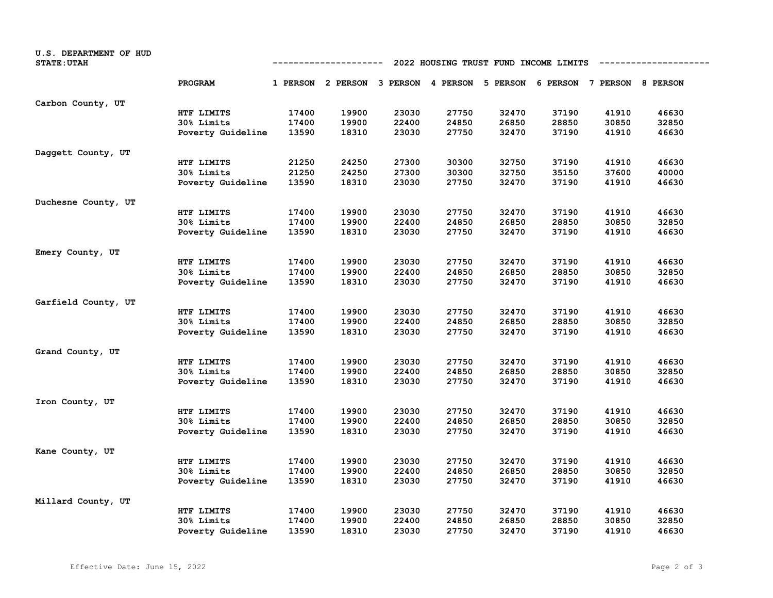| U.S. DEPARTMENT OF HUD<br><b>STATE: UTAH</b> | 2022 HOUSING TRUST FUND INCOME LIMITS<br>----------------<br>---------- |       |                                                                         |       |       |       |       |       |       |
|----------------------------------------------|-------------------------------------------------------------------------|-------|-------------------------------------------------------------------------|-------|-------|-------|-------|-------|-------|
|                                              | PROGRAM                                                                 |       | 1 PERSON 2 PERSON 3 PERSON 4 PERSON 5 PERSON 6 PERSON 7 PERSON 8 PERSON |       |       |       |       |       |       |
| Carbon County, UT                            |                                                                         |       |                                                                         |       |       |       |       |       |       |
|                                              | HTF LIMITS                                                              | 17400 | 19900                                                                   | 23030 | 27750 | 32470 | 37190 | 41910 | 46630 |
|                                              | 30% Limits                                                              | 17400 | 19900                                                                   | 22400 | 24850 | 26850 | 28850 | 30850 | 32850 |
|                                              | Poverty Guideline                                                       | 13590 | 18310                                                                   | 23030 | 27750 | 32470 | 37190 | 41910 | 46630 |
| Daggett County, UT                           |                                                                         |       |                                                                         |       |       |       |       |       |       |
|                                              | HTF LIMITS                                                              | 21250 | 24250                                                                   | 27300 | 30300 | 32750 | 37190 | 41910 | 46630 |
|                                              | 30% Limits                                                              | 21250 | 24250                                                                   | 27300 | 30300 | 32750 | 35150 | 37600 | 40000 |
|                                              | Poverty Guideline                                                       | 13590 | 18310                                                                   | 23030 | 27750 | 32470 | 37190 | 41910 | 46630 |
| Duchesne County, UT                          |                                                                         |       |                                                                         |       |       |       |       |       |       |
|                                              | HTF LIMITS                                                              | 17400 | 19900                                                                   | 23030 | 27750 | 32470 | 37190 | 41910 | 46630 |
|                                              | 30% Limits                                                              | 17400 | 19900                                                                   | 22400 | 24850 | 26850 | 28850 | 30850 | 32850 |
|                                              | Poverty Guideline                                                       | 13590 | 18310                                                                   | 23030 | 27750 | 32470 | 37190 | 41910 | 46630 |
| Emery County, UT                             |                                                                         |       |                                                                         |       |       |       |       |       |       |
|                                              | HTF LIMITS                                                              | 17400 | 19900                                                                   | 23030 | 27750 | 32470 | 37190 | 41910 | 46630 |
|                                              | 30% Limits                                                              | 17400 | 19900                                                                   | 22400 | 24850 | 26850 | 28850 | 30850 | 32850 |
|                                              | Poverty Guideline                                                       | 13590 | 18310                                                                   | 23030 | 27750 | 32470 | 37190 | 41910 | 46630 |
| Garfield County, UT                          |                                                                         |       |                                                                         |       |       |       |       |       |       |
|                                              | HTF LIMITS                                                              | 17400 | 19900                                                                   | 23030 | 27750 | 32470 | 37190 | 41910 | 46630 |
|                                              | 30% Limits                                                              | 17400 | 19900                                                                   | 22400 | 24850 | 26850 | 28850 | 30850 | 32850 |
|                                              | Poverty Guideline                                                       | 13590 | 18310                                                                   | 23030 | 27750 | 32470 | 37190 | 41910 | 46630 |
| Grand County, UT                             |                                                                         |       |                                                                         |       |       |       |       |       |       |
|                                              | HTF LIMITS                                                              | 17400 | 19900                                                                   | 23030 | 27750 | 32470 | 37190 | 41910 | 46630 |
|                                              | 30% Limits                                                              | 17400 | 19900                                                                   | 22400 | 24850 | 26850 | 28850 | 30850 | 32850 |
|                                              | Poverty Guideline                                                       | 13590 | 18310                                                                   | 23030 | 27750 | 32470 | 37190 | 41910 | 46630 |
| Iron County, UT                              |                                                                         |       |                                                                         |       |       |       |       |       |       |
|                                              | HTF LIMITS                                                              | 17400 | 19900                                                                   | 23030 | 27750 | 32470 | 37190 | 41910 | 46630 |
|                                              | 30% Limits                                                              | 17400 | 19900                                                                   | 22400 | 24850 | 26850 | 28850 | 30850 | 32850 |
|                                              | Poverty Guideline                                                       | 13590 | 18310                                                                   | 23030 | 27750 | 32470 | 37190 | 41910 | 46630 |
| Kane County, UT                              |                                                                         |       |                                                                         |       |       |       |       |       |       |
|                                              | HTF LIMITS                                                              | 17400 | 19900                                                                   | 23030 | 27750 | 32470 | 37190 | 41910 | 46630 |
|                                              | 30% Limits                                                              | 17400 | 19900                                                                   | 22400 | 24850 | 26850 | 28850 | 30850 | 32850 |
|                                              | Poverty Guideline                                                       | 13590 | 18310                                                                   | 23030 | 27750 | 32470 | 37190 | 41910 | 46630 |
| Millard County, UT                           |                                                                         |       |                                                                         |       |       |       |       |       |       |
|                                              | HTF LIMITS                                                              | 17400 | 19900                                                                   | 23030 | 27750 | 32470 | 37190 | 41910 | 46630 |
|                                              | 30% Limits                                                              | 17400 | 19900                                                                   | 22400 | 24850 | 26850 | 28850 | 30850 | 32850 |
|                                              | Poverty Guideline                                                       | 13590 | 18310                                                                   | 23030 | 27750 | 32470 | 37190 | 41910 | 46630 |